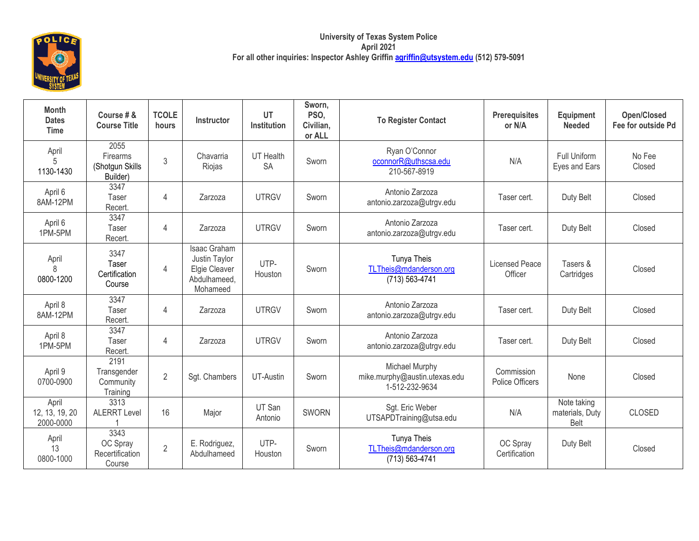

| <b>Month</b><br><b>Dates</b><br><b>Time</b> | Course # &<br><b>Course Title</b>               | <b>TCOLE</b><br>hours | Instructor                                                                 | UT<br>Institution      | Sworn,<br>PSO,<br>Civilian,<br>or ALL | <b>To Register Contact</b>                                        | <b>Prerequisites</b><br>or N/A   | Equipment<br><b>Needed</b>             | <b>Open/Closed</b><br>Fee for outside Pd |
|---------------------------------------------|-------------------------------------------------|-----------------------|----------------------------------------------------------------------------|------------------------|---------------------------------------|-------------------------------------------------------------------|----------------------------------|----------------------------------------|------------------------------------------|
| April<br>1130-1430                          | 2055<br>Firearms<br>(Shotgun Skills<br>Builder) | 3                     | Chavarria<br>Riojas                                                        | UT Health<br><b>SA</b> | Sworn                                 | Ryan O'Connor<br>oconnorR@uthscsa.edu<br>210-567-8919             | N/A                              | Full Uniform<br>Eyes and Ears          | No Fee<br>Closed                         |
| April 6<br>8AM-12PM                         | 3347<br>Taser<br>Recert.                        | 4                     | Zarzoza                                                                    | <b>UTRGV</b>           | Sworn                                 | Antonio Zarzoza<br>antonio.zarzoza@utrgv.edu                      | Taser cert.                      | Duty Belt                              | Closed                                   |
| April 6<br>1PM-5PM                          | 3347<br>Taser<br>Recert.                        | 4                     | Zarzoza                                                                    | <b>UTRGV</b>           | Sworn                                 | Antonio Zarzoza<br>antonio.zarzoza@utrgv.edu                      | Taser cert.                      | Duty Belt                              | Closed                                   |
| April<br>8<br>0800-1200                     | 3347<br>Taser<br>Certification<br>Course        | 4                     | Isaac Graham<br>Justin Taylor<br>Elgie Cleaver<br>Abdulhameed,<br>Mohameed | UTP-<br>Houston        | Sworn                                 | Tunya Theis<br>TLTheis@mdanderson.org<br>(713) 563-4741           | <b>Licensed Peace</b><br>Officer | Tasers &<br>Cartridges                 | Closed                                   |
| April 8<br>8AM-12PM                         | 3347<br><b>Taser</b><br>Recert.                 | 4                     | Zarzoza                                                                    | <b>UTRGV</b>           | Sworn                                 | Antonio Zarzoza<br>antonio.zarzoza@utrgv.edu                      | Taser cert.                      | Duty Belt                              | Closed                                   |
| April 8<br>1PM-5PM                          | 3347<br>Taser<br>Recert.                        | 4                     | Zarzoza                                                                    | <b>UTRGV</b>           | Sworn                                 | Antonio Zarzoza<br>antonio.zarzoza@utrgv.edu                      | Taser cert.                      | Duty Belt                              | Closed                                   |
| April 9<br>0700-0900                        | 2191<br>Transgender<br>Community<br>Training    | $\overline{2}$        | Sgt. Chambers                                                              | UT-Austin              | Sworn                                 | Michael Murphy<br>mike.murphy@austin.utexas.edu<br>1-512-232-9634 | Commission<br>Police Officers    | None                                   | Closed                                   |
| April<br>12, 13, 19, 20<br>2000-0000        | 3313<br><b>ALERRT Level</b>                     | 16                    | Major                                                                      | UT San<br>Antonio      | <b>SWORN</b>                          | Sgt. Eric Weber<br>UTSAPDTraining@utsa.edu                        | N/A                              | Note taking<br>materials, Duty<br>Belt | <b>CLOSED</b>                            |
| April<br>13<br>0800-1000                    | 3343<br>OC Spray<br>Recertification<br>Course   | $\overline{2}$        | E. Rodriguez,<br>Abdulhameed                                               | UTP-<br>Houston        | Sworn                                 | Tunya Theis<br>TLTheis@mdanderson.org<br>(713) 563-4741           | OC Spray<br>Certification        | Duty Belt                              | Closed                                   |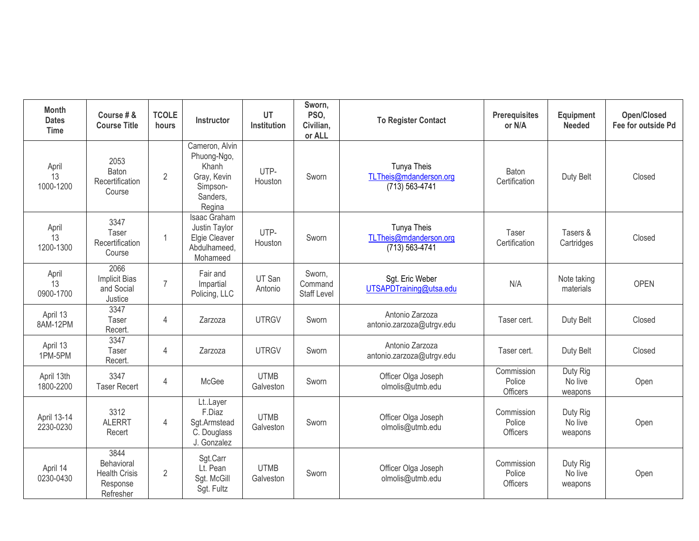| <b>Month</b><br><b>Dates</b><br><b>Time</b> | Course # &<br><b>Course Title</b>                                   | <b>TCOLE</b><br>hours | Instructor                                                                              | UT<br>Institution        | Sworn,<br>PSO,<br>Civilian,<br>or ALL   | <b>To Register Contact</b>                                     | <b>Prerequisites</b><br>or N/A          | Equipment<br><b>Needed</b>     | <b>Open/Closed</b><br>Fee for outside Pd |
|---------------------------------------------|---------------------------------------------------------------------|-----------------------|-----------------------------------------------------------------------------------------|--------------------------|-----------------------------------------|----------------------------------------------------------------|-----------------------------------------|--------------------------------|------------------------------------------|
| April<br>13<br>1000-1200                    | 2053<br>Baton<br>Recertification<br>Course                          | $\overline{2}$        | Cameron, Alvin<br>Phuong-Ngo,<br>Khanh<br>Gray, Kevin<br>Simpson-<br>Sanders,<br>Regina | UTP-<br>Houston          | Sworn                                   | <b>Tunya Theis</b><br>TLTheis@mdanderson.org<br>(713) 563-4741 | Baton<br>Certification                  | Duty Belt                      | Closed                                   |
| April<br>13<br>1200-1300                    | 3347<br>Taser<br>Recertification<br>Course                          | $\overline{1}$        | Isaac Graham<br>Justin Taylor<br>Elgie Cleaver<br>Abdulhameed,<br>Mohameed              | UTP-<br>Houston          | Sworn                                   | Tunya Theis<br>TLTheis@mdanderson.org<br>$(713) 563 - 4741$    | Taser<br>Certification                  | Tasers &<br>Cartridges         | Closed                                   |
| April<br>13<br>0900-1700                    | 2066<br><b>Implicit Bias</b><br>and Social<br>Justice               | $\overline{7}$        | Fair and<br>Impartial<br>Policing, LLC                                                  | UT San<br>Antonio        | Sworn,<br>Command<br><b>Staff Level</b> | Sgt. Eric Weber<br>UTSAPDTraining@utsa.edu                     | N/A                                     | Note taking<br>materials       | <b>OPEN</b>                              |
| April 13<br>8AM-12PM                        | 3347<br>Taser<br>Recert.                                            | $\overline{4}$        | Zarzoza                                                                                 | <b>UTRGV</b>             | Sworn                                   | Antonio Zarzoza<br>antonio.zarzoza@utrgv.edu                   | Taser cert.                             | Duty Belt                      | Closed                                   |
| April 13<br>1PM-5PM                         | 3347<br><b>Taser</b><br>Recert.                                     | $\overline{4}$        | Zarzoza                                                                                 | <b>UTRGV</b>             | Sworn                                   | Antonio Zarzoza<br>antonio.zarzoza@utrgv.edu                   | Taser cert.                             | Duty Belt                      | Closed                                   |
| April 13th<br>1800-2200                     | 3347<br><b>Taser Recert</b>                                         | $\overline{4}$        | McGee                                                                                   | <b>UTMB</b><br>Galveston | Sworn                                   | Officer Olga Joseph<br>olmolis@utmb.edu                        | Commission<br>Police<br>Officers        | Duty Rig<br>No live<br>weapons | Open                                     |
| April 13-14<br>2230-0230                    | 3312<br><b>ALERRT</b><br>Recert                                     | $\overline{4}$        | LtLayer<br>F.Diaz<br>Sgt.Armstead<br>C. Douglass<br>J. Gonzalez                         | <b>UTMB</b><br>Galveston | Sworn                                   | Officer Olga Joseph<br>olmolis@utmb.edu                        | Commission<br>Police<br><b>Officers</b> | Duty Rig<br>No live<br>weapons | Open                                     |
| April 14<br>0230-0430                       | 3844<br>Behavioral<br><b>Health Crisis</b><br>Response<br>Refresher | $\overline{2}$        | Sgt.Carr<br>Lt. Pean<br>Sgt. McGill<br>Sgt. Fultz                                       | <b>UTMB</b><br>Galveston | Sworn                                   | Officer Olga Joseph<br>olmolis@utmb.edu                        | Commission<br>Police<br><b>Officers</b> | Duty Rig<br>No live<br>weapons | Open                                     |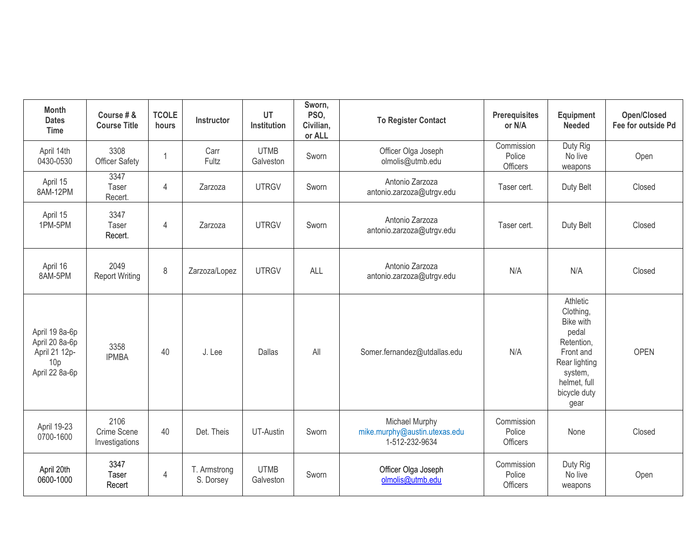| <b>Month</b><br><b>Dates</b><br><b>Time</b>                                            | Course # &<br><b>Course Title</b>     | <b>TCOLE</b><br>hours | <b>Instructor</b>         | UT<br>Institution        | Sworn,<br>PSO,<br>Civilian,<br>or ALL | <b>To Register Contact</b>                                        | <b>Prerequisites</b><br>or N/A   | Equipment<br><b>Needed</b>                                                                                                                 | <b>Open/Closed</b><br>Fee for outside Pd |
|----------------------------------------------------------------------------------------|---------------------------------------|-----------------------|---------------------------|--------------------------|---------------------------------------|-------------------------------------------------------------------|----------------------------------|--------------------------------------------------------------------------------------------------------------------------------------------|------------------------------------------|
| April 14th<br>0430-0530                                                                | 3308<br>Officer Safety                | $\overline{1}$        | Carr<br>Fultz             | <b>UTMB</b><br>Galveston | Sworn                                 | Officer Olga Joseph<br>olmolis@utmb.edu                           | Commission<br>Police<br>Officers | Duty Rig<br>No live<br>weapons                                                                                                             | Open                                     |
| April 15<br>8AM-12PM                                                                   | 3347<br>Taser<br>Recert.              | $\overline{4}$        | Zarzoza                   | <b>UTRGV</b>             | Sworn                                 | Antonio Zarzoza<br>antonio.zarzoza@utrgv.edu                      | Taser cert.                      | Duty Belt                                                                                                                                  | Closed                                   |
| April 15<br>1PM-5PM                                                                    | 3347<br>Taser<br>Recert.              | $\overline{4}$        | Zarzoza                   | <b>UTRGV</b>             | Sworn                                 | Antonio Zarzoza<br>antonio.zarzoza@utrgv.edu                      | Taser cert.                      | Duty Belt                                                                                                                                  | Closed                                   |
| April 16<br>8AM-5PM                                                                    | 2049<br><b>Report Writing</b>         | $\,8\,$               | Zarzoza/Lopez             | <b>UTRGV</b>             | ALL                                   | Antonio Zarzoza<br>antonio.zarzoza@utrgv.edu                      | N/A                              | N/A                                                                                                                                        | Closed                                   |
| April 19 8a-6p<br>April 20 8a-6p<br>April 21 12p-<br>10 <sub>p</sub><br>April 22 8a-6p | 3358<br><b>IPMBA</b>                  | 40                    | J. Lee                    | Dallas                   | All                                   | Somer.fernandez@utdallas.edu                                      | N/A                              | Athletic<br>Clothing,<br>Bike with<br>pedal<br>Retention,<br>Front and<br>Rear lighting<br>system,<br>helmet, full<br>bicycle duty<br>gear | <b>OPEN</b>                              |
| April 19-23<br>0700-1600                                                               | 2106<br>Crime Scene<br>Investigations | 40                    | Det. Theis                | UT-Austin                | Sworn                                 | Michael Murphy<br>mike.murphy@austin.utexas.edu<br>1-512-232-9634 | Commission<br>Police<br>Officers | None                                                                                                                                       | Closed                                   |
| April 20th<br>0600-1000                                                                | 3347<br>Taser<br>Recert               | $\overline{4}$        | T. Armstrong<br>S. Dorsey | <b>UTMB</b><br>Galveston | Sworn                                 | Officer Olga Joseph<br>olmolis@utmb.edu                           | Commission<br>Police<br>Officers | Duty Rig<br>No live<br>weapons                                                                                                             | Open                                     |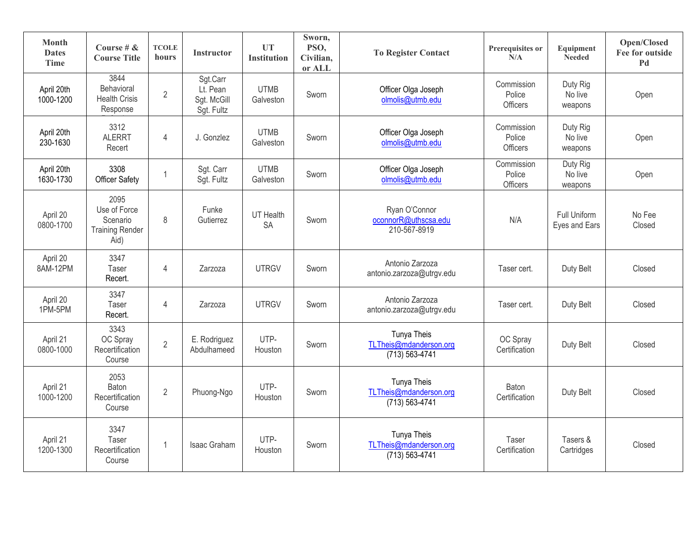| Month<br><b>Dates</b><br><b>Time</b> | Course # $\&$<br><b>Course Title</b>                               | <b>TCOLE</b><br>hours | <b>Instructor</b>                                 | <b>UT</b><br><b>Institution</b> | Sworn,<br>PSO,<br>Civilian,<br>or ALL | <b>To Register Contact</b>                                  | Prerequisites or<br>N/A                 | Equipment<br>Needed            | Open/Closed<br>Fee for outside<br>Pd |
|--------------------------------------|--------------------------------------------------------------------|-----------------------|---------------------------------------------------|---------------------------------|---------------------------------------|-------------------------------------------------------------|-----------------------------------------|--------------------------------|--------------------------------------|
| April 20th<br>1000-1200              | 3844<br>Behavioral<br><b>Health Crisis</b><br>Response             | $\sqrt{2}$            | Sgt.Carr<br>Lt. Pean<br>Sgt. McGill<br>Sgt. Fultz | <b>UTMB</b><br>Galveston        | Sworn                                 | Officer Olga Joseph<br>olmolis@utmb.edu                     | Commission<br>Police<br><b>Officers</b> | Duty Rig<br>No live<br>weapons | Open                                 |
| April 20th<br>230-1630               | 3312<br><b>ALERRT</b><br>Recert                                    | 4                     | J. Gonzlez                                        | <b>UTMB</b><br>Galveston        | Sworn                                 | Officer Olga Joseph<br>olmolis@utmb.edu                     | Commission<br>Police<br>Officers        | Duty Rig<br>No live<br>weapons | Open                                 |
| April 20th<br>1630-1730              | 3308<br><b>Officer Safety</b>                                      | $\overline{1}$        | Sgt. Carr<br>Sgt. Fultz                           | <b>UTMB</b><br>Galveston        | Sworn                                 | Officer Olga Joseph<br>olmolis@utmb.edu                     | Commission<br>Police<br>Officers        | Duty Rig<br>No live<br>weapons | Open                                 |
| April 20<br>0800-1700                | 2095<br>Use of Force<br>Scenario<br><b>Training Render</b><br>Aid) | 8                     | Funke<br>Gutierrez                                | UT Health<br><b>SA</b>          | Sworn                                 | Ryan O'Connor<br>oconnorR@uthscsa.edu<br>210-567-8919       | N/A                                     | Full Uniform<br>Eyes and Ears  | No Fee<br>Closed                     |
| April 20<br>8AM-12PM                 | 3347<br>Taser<br>Recert.                                           | $\overline{4}$        | Zarzoza                                           | <b>UTRGV</b>                    | Sworn                                 | Antonio Zarzoza<br>antonio.zarzoza@utrgv.edu                | Taser cert.                             | Duty Belt                      | Closed                               |
| April 20<br>1PM-5PM                  | 3347<br>Taser<br>Recert.                                           | $\overline{4}$        | Zarzoza                                           | <b>UTRGV</b>                    | Sworn                                 | Antonio Zarzoza<br>antonio.zarzoza@utrgv.edu                | Taser cert.                             | Duty Belt                      | Closed                               |
| April 21<br>0800-1000                | 3343<br>OC Spray<br>Recertification<br>Course                      | $\overline{2}$        | E. Rodriguez<br>Abdulhameed                       | UTP-<br>Houston                 | Sworn                                 | Tunya Theis<br>TLTheis@mdanderson.org<br>$(713) 563 - 4741$ | OC Spray<br>Certification               | Duty Belt                      | Closed                               |
| April 21<br>1000-1200                | 2053<br>Baton<br>Recertification<br>Course                         | $\overline{2}$        | Phuong-Ngo                                        | UTP-<br>Houston                 | Sworn                                 | Tunya Theis<br>TLTheis@mdanderson.org<br>$(713) 563 - 4741$ | Baton<br>Certification                  | Duty Belt                      | Closed                               |
| April 21<br>1200-1300                | 3347<br><b>Taser</b><br>Recertification<br>Course                  | $\mathbf 1$           | Isaac Graham                                      | UTP-<br>Houston                 | Sworn                                 | Tunya Theis<br>TLTheis@mdanderson.org<br>(713) 563-4741     | Taser<br>Certification                  | Tasers &<br>Cartridges         | Closed                               |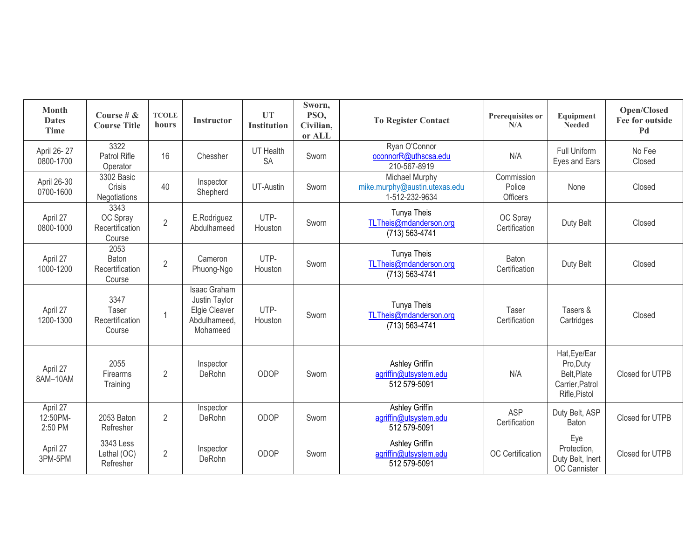| <b>Month</b><br><b>Dates</b><br><b>Time</b> | Course # $\&$<br><b>Course Title</b>          | <b>TCOLE</b><br>hours | Instructor                                                                        | UT<br><b>Institution</b> | Sworn,<br>PSO,<br>Civilian,<br>or ALL | <b>To Register Contact</b>                                        | Prerequisites or<br>N/A          | Equipment<br><b>Needed</b>                                                   | Open/Closed<br>Fee for outside<br>Pd |
|---------------------------------------------|-----------------------------------------------|-----------------------|-----------------------------------------------------------------------------------|--------------------------|---------------------------------------|-------------------------------------------------------------------|----------------------------------|------------------------------------------------------------------------------|--------------------------------------|
| April 26-27<br>0800-1700                    | 3322<br>Patrol Rifle<br>Operator              | 16                    | Chessher                                                                          | UT Health<br><b>SA</b>   | Sworn                                 | Ryan O'Connor<br>oconnorR@uthscsa.edu<br>210-567-8919             | N/A                              | Full Uniform<br>Eyes and Ears                                                | No Fee<br>Closed                     |
| April 26-30<br>0700-1600                    | 3302 Basic<br>Crisis<br>Negotiations          | 40                    | Inspector<br>Shepherd                                                             | UT-Austin                | Sworn                                 | Michael Murphy<br>mike.murphy@austin.utexas.edu<br>1-512-232-9634 | Commission<br>Police<br>Officers | None                                                                         | Closed                               |
| April 27<br>0800-1000                       | 3343<br>OC Spray<br>Recertification<br>Course | $\overline{2}$        | E.Rodriguez<br>Abdulhameed                                                        | UTP-<br>Houston          | Sworn                                 | Tunya Theis<br>TLTheis@mdanderson.org<br>$(713) 563 - 4741$       | OC Spray<br>Certification        | Duty Belt                                                                    | Closed                               |
| April 27<br>1000-1200                       | 2053<br>Baton<br>Recertification<br>Course    | $\overline{2}$        | Cameron<br>Phuong-Ngo                                                             | UTP-<br>Houston          | Sworn                                 | Tunya Theis<br>TLTheis@mdanderson.org<br>(713) 563-4741           | Baton<br>Certification           | Duty Belt                                                                    | Closed                               |
| April 27<br>1200-1300                       | 3347<br>Taser<br>Recertification<br>Course    | $\overline{1}$        | <b>Isaac Graham</b><br>Justin Taylor<br>Elgie Cleaver<br>Abdulhameed,<br>Mohameed | UTP-<br>Houston          | Sworn                                 | Tunya Theis<br>TLTheis@mdanderson.org<br>(713) 563-4741           | Taser<br>Certification           | Tasers &<br>Cartridges                                                       | Closed                               |
| April 27<br>8AM-10AM                        | 2055<br>Firearms<br>Training                  | $\overline{2}$        | Inspector<br>DeRohn                                                               | ODOP                     | Sworn                                 | Ashley Griffin<br>agriffin@utsystem.edu<br>512 579-5091           | N/A                              | Hat, Eye/Ear<br>Pro, Duty<br>Belt, Plate<br>Carrier, Patrol<br>Rifle, Pistol | Closed for UTPB                      |
| April 27<br>12:50PM-<br>2:50 PM             | 2053 Baton<br>Refresher                       | $\overline{2}$        | Inspector<br>DeRohn                                                               | ODOP                     | Sworn                                 | <b>Ashley Griffin</b><br>agriffin@utsystem.edu<br>512 579-5091    | <b>ASP</b><br>Certification      | Duty Belt, ASP<br>Baton                                                      | Closed for UTPB                      |
| April 27<br>3PM-5PM                         | 3343 Less<br>Lethal (OC)<br>Refresher         | $\overline{2}$        | Inspector<br>DeRohn                                                               | ODOP                     | Sworn                                 | Ashley Griffin<br>agriffin@utsystem.edu<br>512 579-5091           | <b>OC</b> Certification          | Eye<br>Protection,<br>Duty Belt, Inert<br>OC Cannister                       | Closed for UTPB                      |